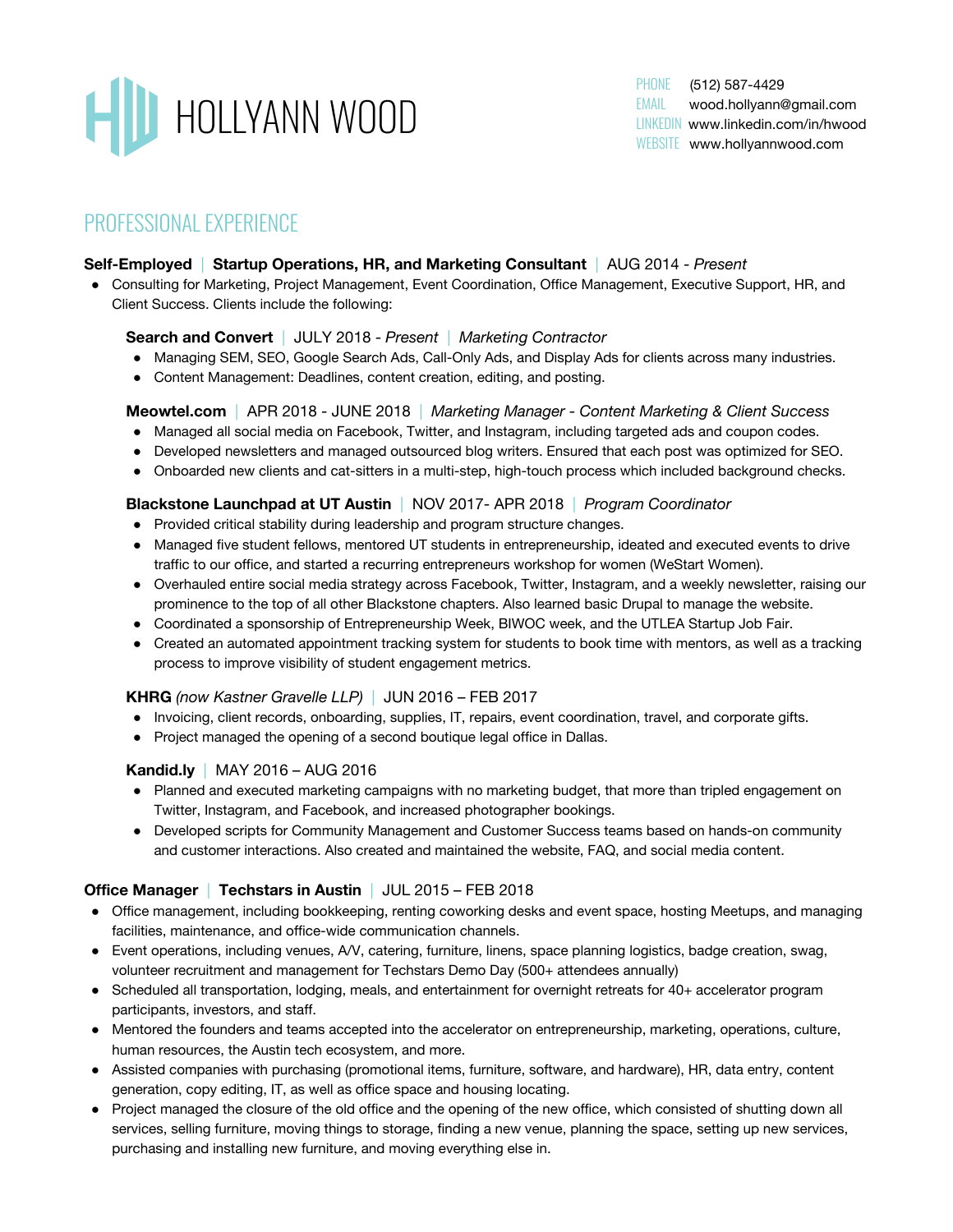

PHONE (512) 587-4429 EMAIL [wood.hollyann@gmail.com](mailto:wood.hollyann@gmail.com) LINKEDIN [www.linkedin.com/in/hwood](http://www.linkedin.com/in/hwood/) WEBSITE www.hollyannwood.com

# PROFESSIONAL EXPERIENCE

### **Self-Employed** | **Startup Operations, HR, and Marketing Consultant** | AUG 2014 - *Present*

● Consulting for Marketing, Project Management, Event Coordination, Office Management, Executive Support, HR, and Client Success. Clients include the following:

#### **Search and Convert** | JULY 2018 - *Present* | *Marketing Contractor*

- Managing SEM, SEO, Google Search Ads, Call-Only Ads, and Display Ads for clients across many industries.
- Content Management: Deadlines, content creation, editing, and posting.

#### **Meowtel.com** | APR 2018 - JUNE 2018 | *Marketing Manager - Content Marketing & Client Success*

- Managed all social media on Facebook, Twitter, and Instagram, including targeted ads and coupon codes.
- Developed newsletters and managed outsourced blog writers. Ensured that each post was optimized for SEO.
- Onboarded new clients and cat-sitters in a multi-step, high-touch process which included background checks.

#### **Blackstone Launchpad at UT Austin** | NOV 2017- APR 2018 | *Program Coordinator*

- Provided critical stability during leadership and program structure changes.
- Managed five student fellows, mentored UT students in entrepreneurship, ideated and executed events to drive traffic to our office, and started a recurring entrepreneurs workshop for women (WeStart Women).
- Overhauled entire social media strategy across Facebook, Twitter, Instagram, and a weekly newsletter, raising our prominence to the top of all other Blackstone chapters. Also learned basic Drupal to manage the website.
- Coordinated a sponsorship of Entrepreneurship Week, BIWOC week, and the UTLEA Startup Job Fair.
- Created an automated appointment tracking system for students to book time with mentors, as well as a tracking process to improve visibility of student engagement metrics.

#### **KHRG** *(now Kastner Gravelle LLP)* | JUN 2016 – FEB 2017

- Invoicing, client records, onboarding, supplies, IT, repairs, event coordination, travel, and corporate gifts.
- Project managed the opening of a second boutique legal office in Dallas.

#### **Kandid.ly** | MAY 2016 – AUG 2016

- Planned and executed marketing campaigns with no marketing budget, that more than tripled engagement on Twitter, Instagram, and Facebook, and increased photographer bookings.
- Developed scripts for Community Management and Customer Success teams based on hands-on community and customer interactions. Also created and maintained the website, FAQ, and social media content.

## **Office Manager** | **Techstars in Austin** | JUL 2015 – FEB 2018

- Office management, including bookkeeping, renting coworking desks and event space, hosting Meetups, and managing facilities, maintenance, and office-wide communication channels.
- Event operations, including venues, A/V, catering, furniture, linens, space planning logistics, badge creation, swag, volunteer recruitment and management for Techstars Demo Day (500+ attendees annually)
- Scheduled all transportation, lodging, meals, and entertainment for overnight retreats for 40+ accelerator program participants, investors, and staff.
- Mentored the founders and teams accepted into the accelerator on entrepreneurship, marketing, operations, culture, human resources, the Austin tech ecosystem, and more.
- Assisted companies with purchasing (promotional items, furniture, software, and hardware), HR, data entry, content generation, copy editing, IT, as well as office space and housing locating.
- Project managed the closure of the old office and the opening of the new office, which consisted of shutting down all services, selling furniture, moving things to storage, finding a new venue, planning the space, setting up new services, purchasing and installing new furniture, and moving everything else in.